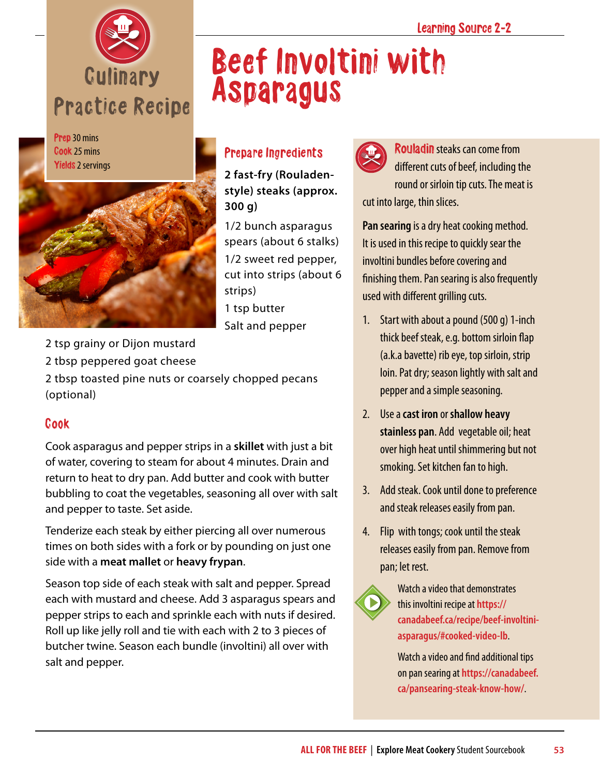





# Beef Involtini with Asparagus

### Prepare Ingredients

**2 fast-fry (Rouladenstyle) steaks (approx. 300 g)**

1/2 bunch asparagus spears (about 6 stalks) 1/2 sweet red pepper, cut into strips (about 6 strips) 1 tsp butter Salt and pepper

2 tsp grainy or Dijon mustard

2 tbsp peppered goat cheese

2 tbsp toasted pine nuts or coarsely chopped pecans (optional)

#### Cook

Cook asparagus and pepper strips in a **skillet** with just a bit of water, covering to steam for about 4 minutes. Drain and return to heat to dry pan. Add butter and cook with butter bubbling to coat the vegetables, seasoning all over with salt and pepper to taste. Set aside.

Tenderize each steak by either piercing all over numerous times on both sides with a fork or by pounding on just one side with a **meat mallet** or **heavy frypan**.

Season top side of each steak with salt and pepper. Spread each with mustard and cheese. Add 3 asparagus spears and pepper strips to each and sprinkle each with nuts if desired. Roll up like jelly roll and tie with each with 2 to 3 pieces of butcher twine. Season each bundle (involtini) all over with salt and pepper.



Rouladin steaks can come from different cuts of beef, including the round or sirloin tip cuts. The meat is cut into large, thin slices.

**Pan searing** is a dry heat cooking method. It is used in this recipe to quickly sear the involtini bundles before covering and finishing them. Pan searing is also frequently used with different grilling cuts.

- 1. Start with about a pound (500 g) 1-inch thick beef steak, e.g. bottom sirloin flap (a.k.a bavette) rib eye, top sirloin, strip loin. Pat dry; season lightly with salt and pepper and a simple seasoning.
- 2. Use a **cast iron** or **shallow heavy stainless pan**. Add vegetable oil; heat over high heat until shimmering but not smoking. Set kitchen fan to high.
- 3. Add steak. Cook until done to preference and steak releases easily from pan.
- 4. Flip with tongs; cook until the steak releases easily from pan. Remove from pan; let rest.



Watch a video that demonstrates this involtini recipe at **[https://](https://canadabeef.ca/recipe/beef-involtini-asparagus/#cooked-video-lb) [canadabeef.ca/recipe/beef-involtini](https://canadabeef.ca/recipe/beef-involtini-asparagus/#cooked-video-lb)[asparagus/#cooked-video-lb](https://canadabeef.ca/recipe/beef-involtini-asparagus/#cooked-video-lb)**.

Watch a video and find additional tips on pan searing at **[https://canadabeef.](https://canadabeef.ca/pansearing-steak-know-how/) [ca/pansearing-steak-know-how/](https://canadabeef.ca/pansearing-steak-know-how/)**.